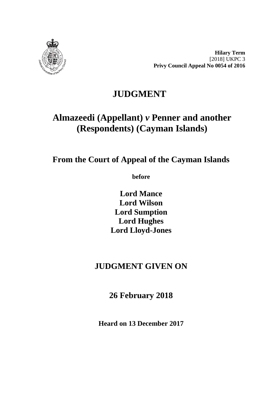

**Hilary Term** [2018] UKPC 3 **Privy Council Appeal No 0054 of 2016**

# **JUDGMENT**

# **Almazeedi (Appellant)** *v* **Penner and another (Respondents) (Cayman Islands)**

**From the Court of Appeal of the Cayman Islands**

**before** 

**Lord Mance Lord Wilson Lord Sumption Lord Hughes Lord Lloyd-Jones**

# **JUDGMENT GIVEN ON**

**26 February 2018**

**Heard on 13 December 2017**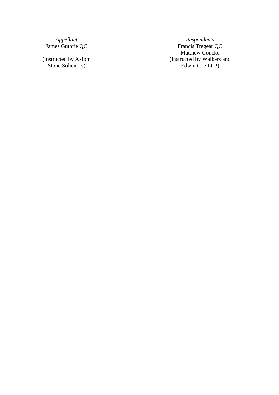(Instructed by Axiom Stone Solicitors )

*Appellant Respondents*<br>James Guthrie QC *Respondents Respondents Respondents* Francis Tregear QC Matthew Goucke (Instructed by Walkers and Edwin Coe LLP )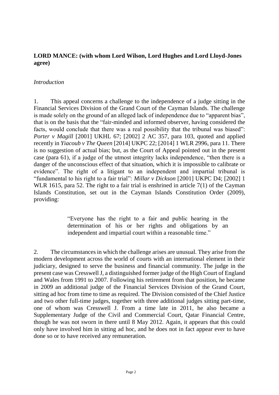### **LORD MANCE: (with whom Lord Wilson, Lord Hughes and Lord Lloyd-Jones agree)**

#### *Introduction*

1. This appeal concerns a challenge to the independence of a judge sitting in the Financial Services Division of the Grand Court of the Cayman Islands. The challenge is made solely on the ground of an alleged lack of independence due to "apparent bias", that is on the basis that the "fair-minded and informed observer, having considered the facts, would conclude that there was a real possibility that the tribunal was biased": *Porter v Magill* [2001] UKHL 67; [2002] 2 AC 357, para 103, quoted and applied recently in *Yiacoub v The Queen* [2014] UKPC 22; [2014] 1 WLR 2996, para 11. There is no suggestion of actual bias; but, as the Court of Appeal pointed out in the present case (para 61), if a judge of the utmost integrity lacks independence, "then there is a danger of the unconscious effect of that situation, which it is impossible to calibrate or evidence". The right of a litigant to an independent and impartial tribunal is "fundamental to his right to a fair trial": *Millar v Dickson* [2001] UKPC D4; [2002] 1 WLR 1615, para 52. The right to a fair trial is enshrined in article 7(1) of the Cayman Islands Constitution, set out in the Cayman Islands Constitution Order (2009), providing:

> "Everyone has the right to a fair and public hearing in the determination of his or her rights and obligations by an independent and impartial court within a reasonable time."

2. The circumstances in which the challenge arises are unusual. They arise from the modern development across the world of courts with an international element in their judiciary, designed to serve the business and financial community. The judge in the present case was Cresswell J, a distinguished former judge of the High Court of England and Wales from 1991 to 2007. Following his retirement from that position, he became in 2009 an additional judge of the Financial Services Division of the Grand Court, sitting ad hoc from time to time as required. The Division consisted of the Chief Justice and two other full-time judges, together with three additional judges sitting part-time, one of whom was Cresswell J. From a time late in 2011, he also became a Supplementary Judge of the Civil and Commercial Court, Qatar Financial Centre, though he was not sworn in there until 8 May 2012. Again, it appears that this could only have involved him in sitting ad hoc, and he does not in fact appear ever to have done so or to have received any remuneration.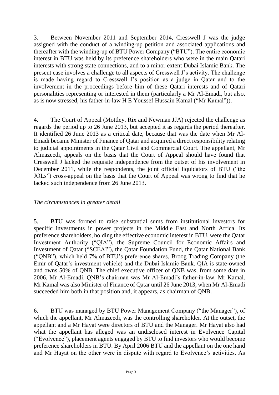3. Between November 2011 and September 2014, Cresswell J was the judge assigned with the conduct of a winding-up petition and associated applications and thereafter with the winding-up of BTU Power Company ("BTU"). The entire economic interest in BTU was held by its preference shareholders who were in the main Qatari interests with strong state connections, and to a minor extent Dubai Islamic Bank. The present case involves a challenge to all aspects of Cresswell J's activity. The challenge is made having regard to Cresswell J's position as a judge in Qatar and to the involvement in the proceedings before him of these Qatari interests and of Qatari personalities representing or interested in them (particularly a Mr Al-Emadi, but also, as is now stressed, his father-in-law H E Youssef Hussain Kamal ("Mr Kamal")).

4. The Court of Appeal (Mottley, Rix and Newman JJA) rejected the challenge as regards the period up to 26 June 2013, but accepted it as regards the period thereafter. It identified 26 June 2013 as a critical date, because that was the date when Mr Al-Emadi became Minister of Finance of Qatar and acquired a direct responsibility relating to judicial appointments in the Qatar Civil and Commercial Court. The appellant, Mr Almazeedi, appeals on the basis that the Court of Appeal should have found that Cresswell J lacked the requisite independence from the outset of his involvement in December 2011, while the respondents, the joint official liquidators of BTU ("the JOLs") cross-appeal on the basis that the Court of Appeal was wrong to find that he lacked such independence from 26 June 2013.

#### *The circumstances in greater detail*

5. BTU was formed to raise substantial sums from institutional investors for specific investments in power projects in the Middle East and North Africa. Its preference shareholders, holding the effective economic interest in BTU, were the Qatar Investment Authority ("QIA"), the Supreme Council for Economic Affairs and Investment of Qatar ("SCEAI"), the Qatar Foundation Fund, the Qatar National Bank ("QNB"), which held 7% of BTU's preference shares, Broog Trading Company (the Emir of Qatar's investment vehicle) and the Dubai Islamic Bank. QIA is state-owned and owns 50% of QNB. The chief executive officer of QNB was, from some date in 2006, Mr Al-Emadi. QNB's chairman was Mr Al-Emadi's father-in-law, Mr Kamal. Mr Kamal was also Minister of Finance of Qatar until 26 June 2013, when Mr Al-Emadi succeeded him both in that position and, it appears, as chairman of QNB.

6. BTU was managed by BTU Power Management Company ("the Manager"), of which the appellant, Mr Almazeedi, was the controlling shareholder. At the outset, the appellant and a Mr Hayat were directors of BTU and the Manager. Mr Hayat also had what the appellant has alleged was an undisclosed interest in Evolvence Capital ("Evolvence"), placement agents engaged by BTU to find investors who would become preference shareholders in BTU. By April 2006 BTU and the appellant on the one hand and Mr Hayat on the other were in dispute with regard to Evolvence's activities. As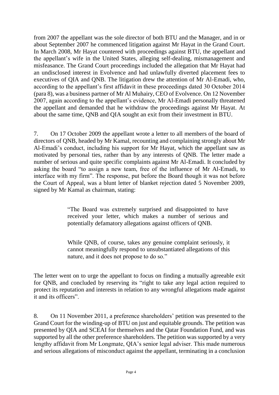from 2007 the appellant was the sole director of both BTU and the Manager, and in or about September 2007 he commenced litigation against Mr Hayat in the Grand Court. In March 2008, Mr Hayat countered with proceedings against BTU, the appellant and the appellant's wife in the United States, alleging self-dealing, mismanagement and misfeasance. The Grand Court proceedings included the allegation that Mr Hayat had an undisclosed interest in Evolvence and had unlawfully diverted placement fees to executives of QIA and QNB. The litigation drew the attention of Mr Al-Emadi, who, according to the appellant's first affidavit in these proceedings dated 30 October 2014 (para 8), was a business partner of Mr Al Muhairy, CEO of Evolvence. On 12 November 2007, again according to the appellant's evidence, Mr Al-Emadi personally threatened the appellant and demanded that he withdraw the proceedings against Mr Hayat. At about the same time, QNB and QIA sought an exit from their investment in BTU.

7. On 17 October 2009 the appellant wrote a letter to all members of the board of directors of QNB, headed by Mr Kamal, recounting and complaining strongly about Mr Al-Emadi's conduct, including his support for Mr Hayat, which the appellant saw as motivated by personal ties, rather than by any interests of QNB. The letter made a number of serious and quite specific complaints against Mr Al-Emadi. It concluded by asking the board "to assign a new team, free of the influence of Mr Al-Emadi, to interface with my firm". The response, put before the Board though it was not before the Court of Appeal, was a blunt letter of blanket rejection dated 5 November 2009, signed by Mr Kamal as chairman, stating:

> "The Board was extremely surprised and disappointed to have received your letter, which makes a number of serious and potentially defamatory allegations against officers of QNB.

> While QNB, of course, takes any genuine complaint seriously, it cannot meaningfully respond to unsubstantiated allegations of this nature, and it does not propose to do so."

The letter went on to urge the appellant to focus on finding a mutually agreeable exit for QNB, and concluded by reserving its "right to take any legal action required to protect its reputation and interests in relation to any wrongful allegations made against it and its officers".

8. On 11 November 2011, a preference shareholders' petition was presented to the Grand Court for the winding-up of BTU on just and equitable grounds. The petition was presented by QIA and SCEAI for themselves and the Qatar Foundation Fund, and was supported by all the other preference shareholders. The petition was supported by a very lengthy affidavit from Mr Longmate, QIA's senior legal adviser. This made numerous and serious allegations of misconduct against the appellant, terminating in a conclusion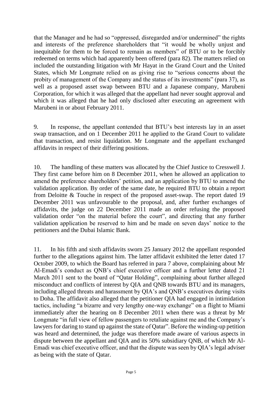that the Manager and he had so "oppressed, disregarded and/or undermined" the rights and interests of the preference shareholders that "it would be wholly unjust and inequitable for them to be forced to remain as members" of BTU or to be forcibly redeemed on terms which had apparently been offered (para 82). The matters relied on included the outstanding litigation with Mr Hayat in the Grand Court and the United States, which Mr Longmate relied on as giving rise to "serious concerns about the probity of management of the Company and the status of its investments" (para 37), as well as a proposed asset swap between BTU and a Japanese company, Marubeni Corporation, for which it was alleged that the appellant had never sought approval and which it was alleged that he had only disclosed after executing an agreement with Marubeni in or about February 2011.

9. In response, the appellant contended that BTU's best interests lay in an asset swap transaction, and on 1 December 2011 he applied to the Grand Court to validate that transaction, and resist liquidation. Mr Longmate and the appellant exchanged affidavits in respect of their differing positions.

10. The handling of these matters was allocated by the Chief Justice to Cresswell J. They first came before him on 8 December 2011, when he allowed an application to amend the preference shareholders' petition, and an application by BTU to amend the validation application. By order of the same date, he required BTU to obtain a report from Deloitte & Touche in respect of the proposed asset-swap. The report dated 19 December 2011 was unfavourable to the proposal, and, after further exchanges of affidavits, the judge on 22 December 2011 made an order refusing the proposed validation order "on the material before the court", and directing that any further validation application be reserved to him and be made on seven days' notice to the petitioners and the Dubai Islamic Bank.

11. In his fifth and sixth affidavits sworn 25 January 2012 the appellant responded further to the allegations against him. The latter affidavit exhibited the letter dated 17 October 2009, to which the Board has referred in para 7 above, complaining about Mr Al-Emadi's conduct as QNB's chief executive officer and a further letter dated 21 March 2011 sent to the board of "Qatar Holding", complaining about further alleged misconduct and conflicts of interest by QIA and QNB towards BTU and its managers, including alleged threats and harassment by QIA's and QNB's executives during visits to Doha. The affidavit also alleged that the petitioner QIA had engaged in intimidation tactics, including "a bizarre and very lengthy one-way exchange" on a flight to Miami immediately after the hearing on 8 December 2011 when there was a threat by Mr Longmate "in full view of fellow passengers to retaliate against me and the Company's lawyers for daring to stand up against the state of Qatar". Before the winding-up petition was heard and determined, the judge was therefore made aware of various aspects in dispute between the appellant and QIA and its 50% subsidiary QNB, of which Mr Al-Emadi was chief executive officer, and that the dispute was seen by QIA's legal adviser as being with the state of Qatar.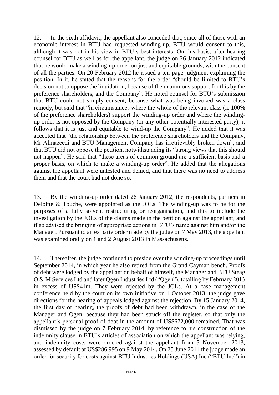12. In the sixth affidavit, the appellant also conceded that, since all of those with an economic interest in BTU had requested winding-up, BTU would consent to this, although it was not in his view in BTU's best interests. On this basis, after hearing counsel for BTU as well as for the appellant, the judge on 26 January 2012 indicated that he would make a winding-up order on just and equitable grounds, with the consent of all the parties. On 20 February 2012 he issued a ten-page judgment explaining the position. In it, he stated that the reasons for the order "should be limited to BTU's decision not to oppose the liquidation, because of the unanimous support for this by the preference shareholders, and the Company". He noted counsel for BTU's submission that BTU could not simply consent, because what was being invoked was a class remedy, but said that "in circumstances where the whole of the relevant class (ie 100% of the preference shareholders) support the winding-up order and where the windingup order is not opposed by the Company (or any other potentially interested party), it follows that it is just and equitable to wind-up the Company". He added that it was accepted that "the relationship between the preference shareholders and the Company, Mr Almazeedi and BTU Management Company has irretrievably broken down", and that BTU did not oppose the petition, notwithstanding its "strong views that this should not happen". He said that "these areas of common ground are a sufficient basis and a proper basis, on which to make a winding-up order". He added that the allegations against the appellant were untested and denied, and that there was no need to address them and that the court had not done so.

13. By the winding-up order dated 26 January 2012, the respondents, partners in Deloitte & Touche, were appointed as the JOLs. The winding-up was to be for the purposes of a fully solvent restructuring or reorganisation, and this to include the investigation by the JOLs of the claims made in the petition against the appellant, and if so advised the bringing of appropriate actions in BTU's name against him and/or the Manager. Pursuant to an ex parte order made by the judge on 7 May 2013, the appellant was examined orally on 1 and 2 August 2013 in Massachusetts.

14. Thereafter, the judge continued to preside over the winding-up proceedings until September 2014, in which year he also retired from the Grand Cayman bench. Proofs of debt were lodged by the appellant on behalf of himself, the Manager and BTU Steag O & M Services Ltd and later Qgen Industries Ltd ("Qgen"), totalling by February 2013 in excess of US\$41m. They were rejected by the JOLs. At a case management conference held by the court on its own initiative on 1 October 2013, the judge gave directions for the hearing of appeals lodged against the rejection. By 15 January 2014, the first day of hearing, the proofs of debt had been withdrawn, in the case of the Manager and Qgen, because they had been struck off the register, so that only the appellant's personal proof of debt in the amount of US\$672,000 remained. That was dismissed by the judge on 7 February 2014, by reference to his construction of the indemnity clause in BTU's articles of association on which the appellant was relying, and indemnity costs were ordered against the appellant from 5 November 2013, assessed by default at US\$286,995 on 9 May 2014. On 25 June 2014 the judge made an order for security for costs against BTU Industries Holdings (USA) Inc ("BTU Inc") in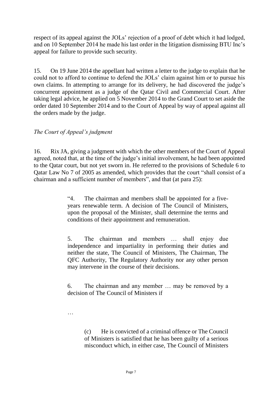respect of its appeal against the JOLs' rejection of a proof of debt which it had lodged, and on 10 September 2014 he made his last order in the litigation dismissing BTU Inc's appeal for failure to provide such security.

15. On 19 June 2014 the appellant had written a letter to the judge to explain that he could not to afford to continue to defend the JOLs' claim against him or to pursue his own claims. In attempting to arrange for its delivery, he had discovered the judge's concurrent appointment as a judge of the Qatar Civil and Commercial Court. After taking legal advice, he applied on 5 November 2014 to the Grand Court to set aside the order dated 10 September 2014 and to the Court of Appeal by way of appeal against all the orders made by the judge.

# *The Court of Appeal's judgment*

16. Rix JA, giving a judgment with which the other members of the Court of Appeal agreed, noted that, at the time of the judge's initial involvement, he had been appointed to the Qatar court, but not yet sworn in. He referred to the provisions of Schedule 6 to Qatar Law No 7 of 2005 as amended, which provides that the court "shall consist of a chairman and a sufficient number of members", and that (at para 25):

> "4. The chairman and members shall be appointed for a fiveyears renewable term. A decision of The Council of Ministers, upon the proposal of the Minister, shall determine the terms and conditions of their appointment and remuneration.

> 5. The chairman and members … shall enjoy due independence and impartiality in performing their duties and neither the state, The Council of Ministers, The Chairman, The QFC Authority, The Regulatory Authority nor any other person may intervene in the course of their decisions.

> 6. The chairman and any member … may be removed by a decision of The Council of Ministers if

…

(c) He is convicted of a criminal offence or The Council of Ministers is satisfied that he has been guilty of a serious misconduct which, in either case, The Council of Ministers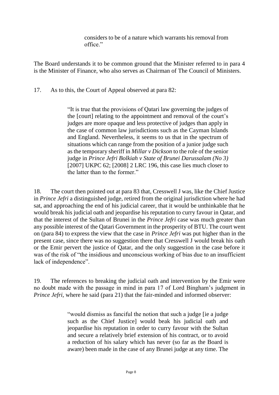considers to be of a nature which warrants his removal from office."

The Board understands it to be common ground that the Minister referred to in para 4 is the Minister of Finance, who also serves as Chairman of The Council of Ministers.

17. As to this, the Court of Appeal observed at para 82:

"It is true that the provisions of Qatari law governing the judges of the [court] relating to the appointment and removal of the court's judges are more opaque and less protective of judges than apply in the case of common law jurisdictions such as the Cayman Islands and England. Nevertheless, it seems to us that in the spectrum of situations which can range from the position of a junior judge such as the temporary sheriff in *Millar v Dickson* to the role of the senior judge in *Prince Jefri Bolkiah v State of Brunei Darussalam (No 3)*  [2007] UKPC 62; [2008] 2 LRC 196, this case lies much closer to the latter than to the former."

18. The court then pointed out at para 83 that, Cresswell J was, like the Chief Justice in *Prince Jefri* a distinguished judge, retired from the original jurisdiction where he had sat, and approaching the end of his judicial career, that it would be unthinkable that he would break his judicial oath and jeopardise his reputation to curry favour in Qatar, and that the interest of the Sultan of Brunei in the *Prince Jefri* case was much greater than any possible interest of the Qatari Government in the prosperity of BTU. The court went on (para 84) to express the view that the case in *Prince Jefri* was put higher than in the present case, since there was no suggestion there that Cresswell J would break his oath or the Emir pervert the justice of Qatar, and the only suggestion in the case before it was of the risk of "the insidious and unconscious working of bias due to an insufficient lack of independence".

19. The references to breaking the judicial oath and intervention by the Emir were no doubt made with the passage in mind in para 17 of Lord Bingham's judgment in *Prince Jefri*, where he said (para 21) that the fair-minded and informed observer:

> "would dismiss as fanciful the notion that such a judge [ie a judge such as the Chief Justice] would beak his judicial oath and jeopardise his reputation in order to curry favour with the Sultan and secure a relatively brief extension of his contract, or to avoid a reduction of his salary which has never (so far as the Board is aware) been made in the case of any Brunei judge at any time. The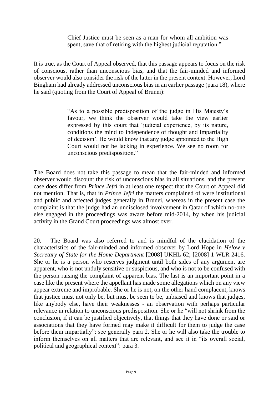Chief Justice must be seen as a man for whom all ambition was spent, save that of retiring with the highest judicial reputation."

It is true, as the Court of Appeal observed, that this passage appears to focus on the risk of conscious, rather than unconscious bias, and that the fair-minded and informed observer would also consider the risk of the latter in the present context. However, Lord Bingham had already addressed unconscious bias in an earlier passage (para 18), where he said (quoting from the Court of Appeal of Brunei):

> "As to a possible predisposition of the judge in His Majesty's favour, we think the observer would take the view earlier expressed by this court that 'judicial experience, by its nature, conditions the mind to independence of thought and impartiality of decision'. He would know that any judge appointed to the High Court would not be lacking in experience. We see no room for unconscious predisposition."

The Board does not take this passage to mean that the fair-minded and informed observer would discount the risk of unconscious bias in all situations, and the present case does differ from *Prince Jefri* in at least one respect that the Court of Appeal did not mention. That is, that in *Prince Jefri* the matters complained of were institutional and public and affected judges generally in Brunei, whereas in the present case the complaint is that the judge had an undisclosed involvement in Qatar of which no-one else engaged in the proceedings was aware before mid-2014, by when his judicial activity in the Grand Court proceedings was almost over.

20. The Board was also referred to and is mindful of the elucidation of the characteristics of the fair-minded and informed observer by Lord Hope in *Helow v Secretary of State for the Home Department* [2008] UKHL 62; [2008] 1 WLR 2416. She or he is a person who reserves judgment until both sides of any argument are apparent, who is not unduly sensitive or suspicious, and who is not to be confused with the person raising the complaint of apparent bias. The last is an important point in a case like the present where the appellant has made some allegations which on any view appear extreme and improbable. She or he is not, on the other hand complacent, knows that justice must not only be, but must be seen to be, unbiased and knows that judges, like anybody else, have their weaknesses - an observation with perhaps particular relevance in relation to unconscious predisposition. She or he "will not shrink from the conclusion, if it can be justified objectively, that things that they have done or said or associations that they have formed may make it difficult for them to judge the case before them impartially": see generally para 2. She or he will also take the trouble to inform themselves on all matters that are relevant, and see it in "its overall social, political and geographical context": para 3.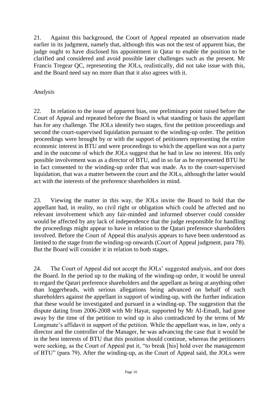21. Against this background, the Court of Appeal repeated an observation made earlier in its judgment, namely that, although this was not the test of apparent bias, the judge ought to have disclosed his appointment in Qatar to enable the position to be clarified and considered and avoid possible later challenges such as the present. Mr Francis Tregear QC, representing the JOLs, realistically, did not take issue with this, and the Board need say no more than that it also agrees with it.

### *Analysis*

22. In relation to the issue of apparent bias, one preliminary point raised before the Court of Appeal and repeated before the Board is what standing or basis the appellant has for any challenge. The JOLs identify two stages, first the petition proceedings and second the court-supervised liquidation pursuant to the winding-up order. The petition proceedings were brought by or with the support of petitioners representing the entire economic interest in BTU and were proceedings to which the appellant was not a party and in the outcome of which the JOLs suggest that he had in law no interest. His only possible involvement was as a director of BTU, and in so far as he represented BTU he in fact consented to the winding-up order that was made. As to the court-supervised liquidation, that was a matter between the court and the JOLs, although the latter would act with the interests of the preference shareholders in mind.

23. Viewing the matter in this way, the JOLs invite the Board to hold that the appellant had, in reality, no civil right or obligation which could be affected and no relevant involvement which any fair-minded and informed observer could consider would be affected by any lack of independence that the judge responsible for handling the proceedings might appear to have in relation to the Qatari preference shareholders involved. Before the Court of Appeal this analysis appears to have been understood as limited to the stage from the winding-up onwards (Court of Appeal judgment, para 78). But the Board will consider it in relation to both stages.

24. The Court of Appeal did not accept the JOLs' suggested analysis, and nor does the Board. In the period up to the making of the winding-up order, it would be unreal to regard the Qatari preference shareholders and the appellant as being at anything other than loggerheads, with serious allegations being advanced on behalf of such shareholders against the appellant in support of winding-up, with the further indication that these would be investigated and pursued in a winding-up. The suggestion that the dispute dating from 2006-2008 with Mr Hayat, supported by Mr Al-Emadi, had gone away by the time of the petition to wind up is also contradicted by the terms of Mr Longmate's affidavit in support of the petition. While the appellant was, in law, only a director and the controller of the Manager, he was advancing the case that it would be in the best interests of BTU that this position should continue, whereas the petitioners were seeking, as the Court of Appeal put it, "to break [his] hold over the management of BTU" (para 79). After the winding-up, as the Court of Appeal said, the JOLs were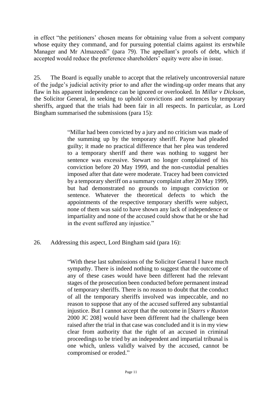in effect "the petitioners' chosen means for obtaining value from a solvent company whose equity they command, and for pursuing potential claims against its erstwhile Manager and Mr Almazeedi" (para 79). The appellant's proofs of debt, which if accepted would reduce the preference shareholders' equity were also in issue.

25. The Board is equally unable to accept that the relatively uncontroversial nature of the judge's judicial activity prior to and after the winding-up order means that any flaw in his apparent independence can be ignored or overlooked. In *Millar v Dickson*, the Solicitor General, in seeking to uphold convictions and sentences by temporary sheriffs, argued that the trials had been fair in all respects. In particular, as Lord Bingham summarised the submissions (para 15):

> "Millar had been convicted by a jury and no criticism was made of the summing up by the temporary sheriff. Payne had pleaded guilty; it made no practical difference that her plea was tendered to a temporary sheriff and there was nothing to suggest her sentence was excessive. Stewart no longer complained of his conviction before 20 May 1999, and the non-custodial penalties imposed after that date were moderate. Tracey had been convicted by a temporary sheriff on a summary complaint after 20 May 1999, but had demonstrated no grounds to impugn conviction or sentence. Whatever the theoretical defects to which the appointments of the respective temporary sheriffs were subject, none of them was said to have shown any lack of independence or impartiality and none of the accused could show that he or she had in the event suffered any injustice."

26. Addressing this aspect, Lord Bingham said (para 16):

"With these last submissions of the Solicitor General I have much sympathy. There is indeed nothing to suggest that the outcome of any of these cases would have been different had the relevant stages of the prosecution been conducted before permanent instead of temporary sheriffs. There is no reason to doubt that the conduct of all the temporary sheriffs involved was impeccable, and no reason to suppose that any of the accused suffered any substantial injustice. But I cannot accept that the outcome in [*Starrs v Ruxton*  2000 JC 208] would have been different had the challenge been raised after the trial in that case was concluded and it is in my view clear from authority that the right of an accused in criminal proceedings to be tried by an independent and impartial tribunal is one which, unless validly waived by the accused, cannot be compromised or eroded."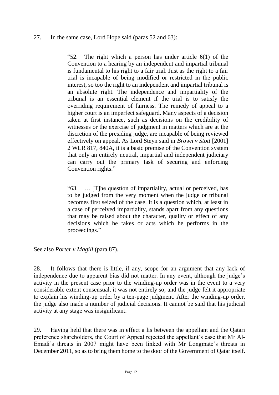#### 27. In the same case, Lord Hope said (paras 52 and 63):

"52. The right which a person has under article 6(1) of the Convention to a hearing by an independent and impartial tribunal is fundamental to his right to a fair trial. Just as the right to a fair trial is incapable of being modified or restricted in the public interest, so too the right to an independent and impartial tribunal is an absolute right. The independence and impartiality of the tribunal is an essential element if the trial is to satisfy the overriding requirement of fairness. The remedy of appeal to a higher court is an imperfect safeguard. Many aspects of a decision taken at first instance, such as decisions on the credibility of witnesses or the exercise of judgment in matters which are at the discretion of the presiding judge, are incapable of being reviewed effectively on appeal. As Lord Steyn said in *Brown v Stott* [2001] 2 WLR 817, 840A, it is a basic premise of the Convention system that only an entirely neutral, impartial and independent judiciary can carry out the primary task of securing and enforcing Convention rights."

"63. … [T]he question of impartiality, actual or perceived, has to be judged from the very moment when the judge or tribunal becomes first seized of the case. It is a question which, at least in a case of perceived impartiality, stands apart from any questions that may be raised about the character, quality or effect of any decisions which he takes or acts which he performs in the proceedings."

See also *Porter v Magill* (para 87).

28. It follows that there is little, if any, scope for an argument that any lack of independence due to apparent bias did not matter. In any event, although the judge's activity in the present case prior to the winding-up order was in the event to a very considerable extent consensual, it was not entirely so, and the judge felt it appropriate to explain his winding-up order by a ten-page judgment. After the winding-up order, the judge also made a number of judicial decisions. It cannot be said that his judicial activity at any stage was insignificant.

29. Having held that there was in effect a lis between the appellant and the Qatari preference shareholders, the Court of Appeal rejected the appellant's case that Mr Al-Emadi's threats in 2007 might have been linked with Mr Longmate's threats in December 2011, so as to bring them home to the door of the Government of Qatar itself.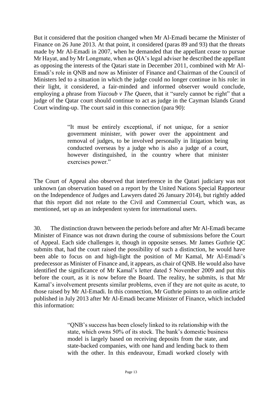But it considered that the position changed when Mr Al-Emadi became the Minister of Finance on 26 June 2013. At that point, it considered (paras 89 and 93) that the threats made by Mr Al-Emadi in 2007, when he demanded that the appellant cease to pursue Mr Hayat, and by Mr Longmate, when as QIA's legal adviser he described the appellant as opposing the interests of the Qatari state in December 2011, combined with Mr Al-Emadi's role in QNB and now as Minister of Finance and Chairman of the Council of Ministers led to a situation in which the judge could no longer continue in his role: in their light, it considered, a fair-minded and informed observer would conclude, employing a phrase from *Yiacoub v The Queen*, that it "surely cannot be right" that a judge of the Qatar court should continue to act as judge in the Cayman Islands Grand Court winding-up. The court said in this connection (para 90):

> "It must be entirely exceptional, if not unique, for a senior government minister, with power over the appointment and removal of judges, to be involved personally in litigation being conducted overseas by a judge who is also a judge of a court, however distinguished, in the country where that minister exercises power."

The Court of Appeal also observed that interference in the Qatari judiciary was not unknown (an observation based on a report by the United Nations Special Rapporteur on the Independence of Judges and Lawyers dated 26 January 2014), but rightly added that this report did not relate to the Civil and Commercial Court, which was, as mentioned, set up as an independent system for international users.

30. The distinction drawn between the periods before and after Mr Al-Emadi became Minister of Finance was not drawn during the course of submissions before the Court of Appeal. Each side challenges it, though in opposite senses. Mr James Guthrie QC submits that, had the court raised the possibility of such a distinction, he would have been able to focus on and high-light the position of Mr Kamal, Mr Al-Emadi's predecessor as Minister of Finance and, it appears, as chair of QNB. He would also have identified the significance of Mr Kamal's letter dated 5 November 2009 and put this before the court, as it is now before the Board. The reality, he submits, is that Mr Kamal's involvement presents similar problems, even if they are not quite as acute, to those raised by Mr Al-Emadi. In this connection, Mr Guthrie points to an online article published in July 2013 after Mr Al-Emadi became Minister of Finance, which included this information:

> "QNB's success has been closely linked to its relationship with the state, which owns 50% of its stock. The bank's domestic business model is largely based on receiving deposits from the state, and state-backed companies, with one hand and lending back to them with the other. In this endeavour, Emadi worked closely with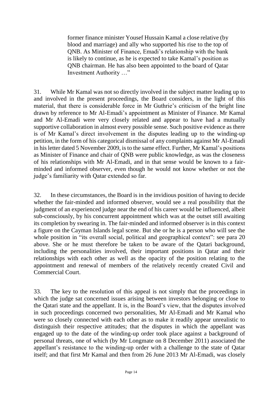former finance minister Yousef Hussain Kamal a close relative (by blood and marriage) and ally who supported his rise to the top of QNB. As Minister of Finance, Emadi's relationship with the bank is likely to continue, as he is expected to take Kamal's position as QNB chairman. He has also been appointed to the board of Qatar Investment Authority …"

31. While Mr Kamal was not so directly involved in the subject matter leading up to and involved in the present proceedings, the Board considers, in the light of this material, that there is considerable force in Mr Guthrie's criticism of the bright line drawn by reference to Mr Al-Emadi's appointment as Minister of Finance. Mr Kamal and Mr Al-Emadi were very closely related and appear to have had a mutually supportive collaboration in almost every possible sense. Such positive evidence as there is of Mr Kamal's direct involvement in the disputes leading up to the winding-up petition, in the form of his categorical dismissal of any complaints against Mr Al-Emadi in his letter dated 5 November 2009, is to the same effect. Further, Mr Kamal's positions as Minister of Finance and chair of QNB were public knowledge, as was the closeness of his relationships with Mr Al-Emadi, and in that sense would be known to a fairminded and informed observer, even though he would not know whether or not the judge's familiarity with Qatar extended so far.

32. In these circumstances, the Board is in the invidious position of having to decide whether the fair-minded and informed observer, would see a real possibility that the judgment of an experienced judge near the end of his career would be influenced, albeit sub-consciously, by his concurrent appointment which was at the outset still awaiting its completion by swearing in. The fair-minded and informed observer is in this context a figure on the Cayman Islands legal scene. But she or he is a person who will see the whole position in "its overall social, political and geographical context": see para 20 above. She or he must therefore be taken to be aware of the Qatari background, including the personalities involved, their important positions in Qatar and their relationships with each other as well as the opacity of the position relating to the appointment and renewal of members of the relatively recently created Civil and Commercial Court.

33. The key to the resolution of this appeal is not simply that the proceedings in which the judge sat concerned issues arising between investors belonging or close to the Qatari state and the appellant. It is, in the Board's view, that the disputes involved in such proceedings concerned two personalities, Mr Al-Emadi and Mr Kamal who were so closely connected with each other as to make it readily appear unrealistic to distinguish their respective attitudes; that the disputes in which the appellant was engaged up to the date of the winding-up order took place against a background of personal threats, one of which (by Mr Longmate on 8 December 2011) associated the appellant's resistance to the winding-up order with a challenge to the state of Qatar itself; and that first Mr Kamal and then from 26 June 2013 Mr Al-Emadi, was closely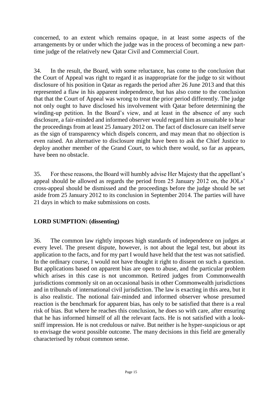concerned, to an extent which remains opaque, in at least some aspects of the arrangements by or under which the judge was in the process of becoming a new parttime judge of the relatively new Qatar Civil and Commercial Court.

34. In the result, the Board, with some reluctance, has come to the conclusion that the Court of Appeal was right to regard it as inappropriate for the judge to sit without disclosure of his position in Qatar as regards the period after 26 June 2013 and that this represented a flaw in his apparent independence, but has also come to the conclusion that that the Court of Appeal was wrong to treat the prior period differently. The judge not only ought to have disclosed his involvement with Qatar before determining the winding-up petition. In the Board's view, and at least in the absence of any such disclosure, a fair-minded and informed observer would regard him as unsuitable to hear the proceedings from at least 25 January 2012 on. The fact of disclosure can itself serve as the sign of transparency which dispels concern, and may mean that no objection is even raised. An alternative to disclosure might have been to ask the Chief Justice to deploy another member of the Grand Court, to which there would, so far as appears, have been no obstacle.

35. For these reasons, the Board will humbly advise Her Majesty that the appellant's appeal should be allowed as regards the period from 25 January 2012 on, the JOLs' cross-appeal should be dismissed and the proceedings before the judge should be set aside from 25 January 2012 to its conclusion in September 2014. The parties will have 21 days in which to make submissions on costs.

# **LORD SUMPTION: (dissenting)**

36. The common law rightly imposes high standards of independence on judges at every level. The present dispute, however, is not about the legal test, but about its application to the facts, and for my part I would have held that the test was not satisfied. In the ordinary course, I would not have thought it right to dissent on such a question. But applications based on apparent bias are open to abuse, and the particular problem which arises in this case is not uncommon. Retired judges from Commonwealth jurisdictions commonly sit on an occasional basis in other Commonwealth jurisdictions and in tribunals of international civil jurisdiction. The law is exacting in this area, but it is also realistic. The notional fair-minded and informed observer whose presumed reaction is the benchmark for apparent bias, has only to be satisfied that there is a real risk of bias. But where he reaches this conclusion, he does so with care, after ensuring that he has informed himself of all the relevant facts. He is not satisfied with a looksniff impression. He is not credulous or naïve. But neither is he hyper-suspicious or apt to envisage the worst possible outcome. The many decisions in this field are generally characterised by robust common sense.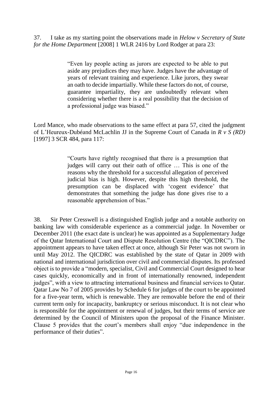37. I take as my starting point the observations made in *Helow v Secretary of State for the Home Department* [2008] 1 WLR 2416 by Lord Rodger at para 23:

> "Even lay people acting as jurors are expected to be able to put aside any prejudices they may have. Judges have the advantage of years of relevant training and experience. Like jurors, they swear an oath to decide impartially. While these factors do not, of course, guarantee impartiality, they are undoubtedly relevant when considering whether there is a real possibility that the decision of a professional judge was biased."

Lord Mance, who made observations to the same effect at para 57, cited the judgment of L'Heureux-Dubéand McLachlin JJ in the Supreme Court of Canada in *R v S (RD)* [1997] 3 SCR 484, para 117:

> "Courts have rightly recognised that there is a presumption that judges will carry out their oath of office … This is one of the reasons why the threshold for a successful allegation of perceived judicial bias is high. However, despite this high threshold, the presumption can be displaced with 'cogent evidence' that demonstrates that something the judge has done gives rise to a reasonable apprehension of bias."

38. Sir Peter Cresswell is a distinguished English judge and a notable authority on banking law with considerable experience as a commercial judge. In November or December 2011 (the exact date is unclear) he was appointed as a Supplementary Judge of the Qatar International Court and Dispute Resolution Centre (the "QICDRC"). The appointment appears to have taken effect at once, although Sir Peter was not sworn in until May 2012. The QICDRC was established by the state of Qatar in 2009 with national and international jurisdiction over civil and commercial disputes. Its professed object is to provide a "modern, specialist, Civil and Commercial Court designed to hear cases quickly, economically and in front of internationally renowned, independent judges", with a view to attracting international business and financial services to Qatar. Qatar Law No 7 of 2005 provides by Schedule 6 for judges of the court to be appointed for a five-year term, which is renewable. They are removable before the end of their current term only for incapacity, bankruptcy or serious misconduct. It is not clear who is responsible for the appointment or renewal of judges, but their terms of service are determined by the Council of Ministers upon the proposal of the Finance Minister. Clause 5 provides that the court's members shall enjoy "due independence in the performance of their duties".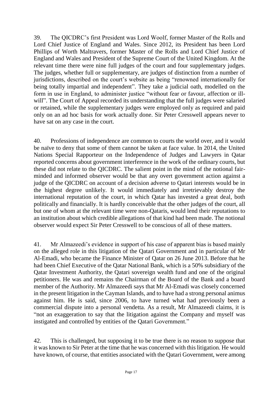39. The QICDRC's first President was Lord Woolf, former Master of the Rolls and Lord Chief Justice of England and Wales. Since 2012, its President has been Lord Phillips of Worth Maltravers, former Master of the Rolls and Lord Chief Justice of England and Wales and President of the Supreme Court of the United Kingdom. At the relevant time there were nine full judges of the court and four supplementary judges. The judges, whether full or supplementary, are judges of distinction from a number of jurisdictions, described on the court's website as being "renowned internationally for being totally impartial and independent". They take a judicial oath, modelled on the form in use in England, to administer justice "without fear or favour, affection or illwill". The Court of Appeal recorded its understanding that the full judges were salaried or retained, while the supplementary judges were employed only as required and paid only on an ad hoc basis for work actually done. Sir Peter Cresswell appears never to have sat on any case in the court.

40. Professions of independence are common to courts the world over, and it would be naïve to deny that some of them cannot be taken at face value. In 2014, the United Nations Special Rapporteur on the Independence of Judges and Lawyers in Qatar reported concerns about government interference in the work of the ordinary courts, but these did not relate to the QICDRC. The salient point in the mind of the notional fairminded and informed observer would be that any overt government action against a judge of the QICDRC on account of a decision adverse to Qatari interests would be in the highest degree unlikely. It would immediately and irretrievably destroy the international reputation of the court, in which Qatar has invested a great deal, both politically and financially. It is hardly conceivable that the other judges of the court, all but one of whom at the relevant time were non-Qataris, would lend their reputations to an institution about which credible allegations of that kind had been made. The notional observer would expect Sir Peter Cresswell to be conscious of all of these matters.

41. Mr Almazeedi's evidence in support of his case of apparent bias is based mainly on the alleged role in this litigation of the Qatari Government and in particular of Mr Al-Emadi, who became the Finance Minister of Qatar on 26 June 2013. Before that he had been Chief Executive of the Qatar National Bank, which is a 50% subsidiary of the Qatar Investment Authority, the Qatari sovereign wealth fund and one of the original petitioners. He was and remains the Chairman of the Board of the Bank and a board member of the Authority. Mr Almazeedi says that Mr Al-Emadi was closely concerned in the present litigation in the Cayman Islands, and to have had a strong personal animus against him. He is said, since 2006, to have turned what had previously been a commercial dispute into a personal vendetta. As a result, Mr Almazeedi claims, it is "not an exaggeration to say that the litigation against the Company and myself was instigated and controlled by entities of the Qatari Government."

42. This is challenged, but supposing it to be true there is no reason to suppose that it was known to Sir Peter at the time that he was concerned with this litigation. He would have known, of course, that entities associated with the Qatari Government, were among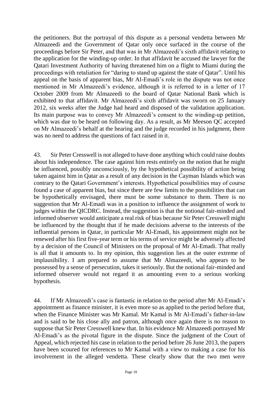the petitioners. But the portrayal of this dispute as a personal vendetta between Mr Almazeedi and the Government of Qatar only once surfaced in the course of the proceedings before Sir Peter, and that was in Mr Almazeedi's sixth affidavit relating to the application for the winding-up order. In that affidavit he accused the lawyer for the Qatari Investment Authority of having threatened him on a flight to Miami during the proceedings with retaliation for "daring to stand up against the state of Qatar". Until his appeal on the basis of apparent bias, Mr Al-Emadi's role in the dispute was not once mentioned in Mr Almazeedi's evidence, although it is referred to in a letter of 17 October 2009 from Mr Almazeedi to the board of Qatar National Bank which is exhibited to that affidavit. Mr Almazeedi's sixth affidavit was sworn on 25 January 2012, six weeks after the Judge had heard and disposed of the validation application. Its main purpose was to convey Mr Almazeedi's consent to the winding-up petition, which was due to be heard on following day. As a result, as Mr Meeson QC accepted on Mr Almazeedi's behalf at the hearing and the judge recorded in his judgment, there was no need to address the questions of fact raised in it.

43. Sir Peter Cresswell is not alleged to have done anything which could raise doubts about his independence. The case against him rests entirely on the notion that he might be influenced, possibly unconsciously, by the hypothetical possibility of action being taken against him in Qatar as a result of any decision in the Cayman Islands which was contrary to the Qatari Government's interests. Hypothetical possibilities may of course found a case of apparent bias, but since there are few limits to the possibilities that can be hypothetically envisaged, there must be some substance to them. There is no suggestion that Mr Al-Emadi was in a position to influence the assignment of work to judges within the QICDRC. Instead, the suggestion is that the notional fair-minded and informed observer would anticipate a real risk of bias because Sir Peter Cresswell might be influenced by the thought that if he made decisions adverse to the interests of the influential persons in Qatar, in particular Mr Al-Emadi, his appointment might not be renewed after his first five-year term or his terms of service might be adversely affected by a decision of the Council of Ministers on the proposal of Mr Al-Emadi. That really is all that it amounts to. In my opinion, this suggestion lies at the outer extreme of implausibility. I am prepared to assume that Mr Almazeedi, who appears to be possessed by a sense of persecution, takes it seriously. But the notional fair-minded and informed observer would not regard it as amounting even to a serious working hypothesis.

44. If Mr Almazeedi's case is fantastic in relation to the period after Mr Al-Emadi's appointment as finance minister, it is even more so as applied to the period before that, when the Finance Minister was Mr Kamal. Mr Kamal is Mr Al-Emadi's father-in-law and is said to be his close ally and patron, although once again there is no reason to suppose that Sir Peter Cresswell knew that. In his evidence Mr Almazeedi portrayed Mr Al-Emadi's as the pivotal figure in the dispute. Since the judgment of the Court of Appeal, which rejected his case in relation to the period before 26 June 2013, the papers have been scoured for references to Mr Kamal with a view to making a case for his involvement in the alleged vendetta. These clearly show that the two men were